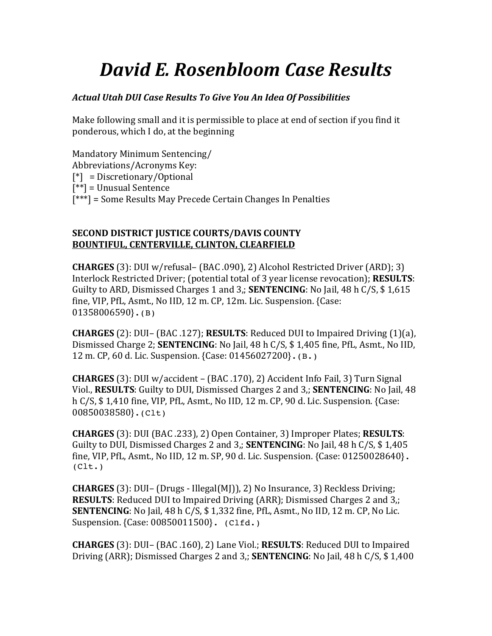# *David E. Rosenbloom Case Results*

## Actual Utah DUI Case Results To Give You An Idea Of Possibilities

Make following small and it is permissible to place at end of section if you find it ponderous, which I do, at the beginning

Mandatory Minimum Sentencing/ Abbreviations/Acronyms Key:  $[$ <sup>\*</sup>] = Discretionary/Optional  $[**] =$  Unusual Sentence  $[***]$  = Some Results May Precede Certain Changes In Penalties

#### **SECOND DISTRICT JUSTICE COURTS/DAVIS COUNTY BOUNTIFUL, CENTERVILLE, CLINTON, CLEARFIELD**

**CHARGES** (3): DUI w/refusal– (BAC .090), 2) Alcohol Restricted Driver (ARD); 3) Interlock Restricted Driver; (potential total of 3 year license revocation); **RESULTS**: Guilty to ARD, Dismissed Charges 1 and 3,; **SENTENCING**: No Jail, 48 h C/S, \$ 1,615 fine, VIP, PfL, Asmt., No IID, 12 m. CP, 12m. Lic. Suspension. {Case: 01358006590}.(B)

**CHARGES** (2): DUI– (BAC .127); **RESULTS**: Reduced DUI to Impaired Driving (1)(a), Dismissed Charge 2; **SENTENCING**: No Jail, 48 h C/S, \$ 1,405 fine, PfL, Asmt., No IID, 12 m. CP, 60 d. Lic. Suspension. {Case: 01456027200}. (B.)

**CHARGES** (3): DUI w/accident  $-$  (BAC .170), 2) Accident Info Fail, 3) Turn Signal Viol., **RESULTS**: Guilty to DUI, Dismissed Charges 2 and 3.; **SENTENCING**: No Jail, 48 h  $C/S$ ,  $$ 1,410$  fine, VIP, PfL, Asmt., No IID, 12 m. CP, 90 d. Lic. Suspension. {Case: 00850038580}.(Clt)

**CHARGES** (3): DUI (BAC .233), 2) Open Container, 3) Improper Plates; **RESULTS**: Guilty to DUI, Dismissed Charges 2 and 3,; **SENTENCING**: No Jail, 48 h C/S, \$ 1,405 fine, VIP, PfL, Asmt., No IID, 12 m. SP, 90 d. Lic. Suspension. {Case:  $01250028640$ }. (Clt.)

**CHARGES** (3): DUI– (Drugs - Illegal(MJ)), 2) No Insurance, 3) Reckless Driving; **RESULTS:** Reduced DUI to Impaired Driving (ARR); Dismissed Charges 2 and 3,; **SENTENCING**: No Jail, 48 h C/S, \$ 1,332 fine, PfL, Asmt., No IID, 12 m. CP, No Lic. Suspension. {Case: 00850011500}. (C1fd.)

**CHARGES** (3): DUI– (BAC .160), 2) Lane Viol.; **RESULTS**: Reduced DUI to Impaired Driving (ARR); Dismissed Charges 2 and 3,; **SENTENCING**: No Jail, 48 h C/S, \$ 1,400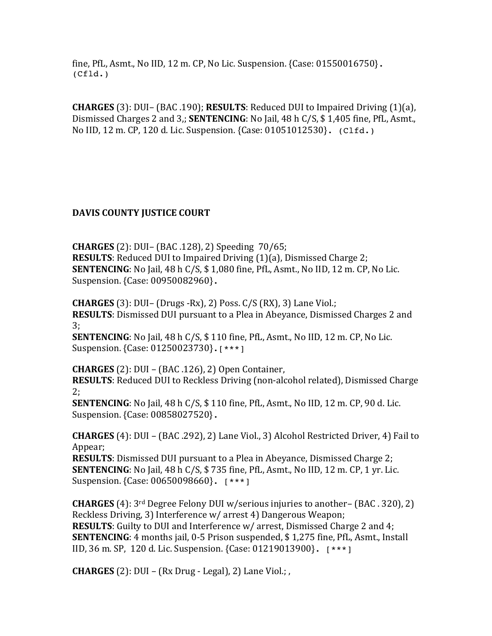fine, PfL, Asmt., No IID, 12 m. CP, No Lic. Suspension.  ${Case: 01550016750}$ . (Cfld.)

**CHARGES** (3):  $DUI - (BAC.190)$ ; **RESULTS**: Reduced  $DUI$  to Impaired Driving  $(1)(a)$ , Dismissed Charges 2 and 3,; **SENTENCING**: No Jail, 48 h C/S, \$ 1,405 fine, PfL, Asmt., No IID, 12 m. CP, 120 d. Lic. Suspension. {Case: 01051012530}. (C1fd.)

## **DAVIS COUNTY JUSTICE COURT**

**CHARGES** (2): DUI– (BAC .128), 2) Speeding 70/65; **RESULTS:** Reduced DUI to Impaired Driving (1)(a), Dismissed Charge 2; **SENTENCING**: No Jail, 48 h C/S, \$ 1,080 fine, PfL, Asmt., No IID, 12 m. CP. No Lic. Suspension. {Case: 00950082960}.

**CHARGES** (3):  $DUI - (Drugs -Rx)$ , 2) Poss.  $C/S$  (RX), 3) Lane Viol.; **RESULTS:** Dismissed DUI pursuant to a Plea in Abeyance, Dismissed Charges 2 and 3; 

**SENTENCING**: No Jail, 48 h C/S, \$ 110 fine, PfL, Asmt., No IID, 12 m. CP, No Lic. Suspension. {Case: 01250023730}. [ \*\*\* ]

**CHARGES** (2): DUI – (BAC .126), 2) Open Container, **RESULTS:** Reduced DUI to Reckless Driving (non-alcohol related), Dismissed Charge 2; 

**SENTENCING**: No Jail, 48 h C/S, \$ 110 fine, PfL, Asmt., No IID, 12 m. CP, 90 d. Lic. Suspension. {Case: 00858027520}.

**CHARGES** (4): DUI – (BAC .292), 2) Lane Viol., 3) Alcohol Restricted Driver, 4) Fail to Appear; 

**RESULTS:** Dismissed DUI pursuant to a Plea in Abeyance, Dismissed Charge 2; **SENTENCING**: No Jail,  $48 h C/S$ ,  $$735 fine$ ,  $PfL$ ,  $Asmt$ , No IID,  $12 m$ . CP,  $1 yr$ . Lic. Suspension. {Case: 00650098660}. [\*\*\*]

**CHARGES** (4): 3<sup>rd</sup> Degree Felony DUI w/serious injuries to another– (BAC . 320), 2) Reckless Driving, 3) Interference w/ arrest 4) Dangerous Weapon; **RESULTS:** Guilty to DUI and Interference w/ arrest, Dismissed Charge 2 and 4; **SENTENCING**: 4 months jail, 0-5 Prison suspended, \$1,275 fine, PfL, Asmt., Install IID, 36 m. SP, 120 d. Lic. Suspension. {Case:  $01219013900$ }. [\*\*\*]

**CHARGES** (2):  $DUI - (Rx Drug - Legal), 2)$  Lane Viol.;,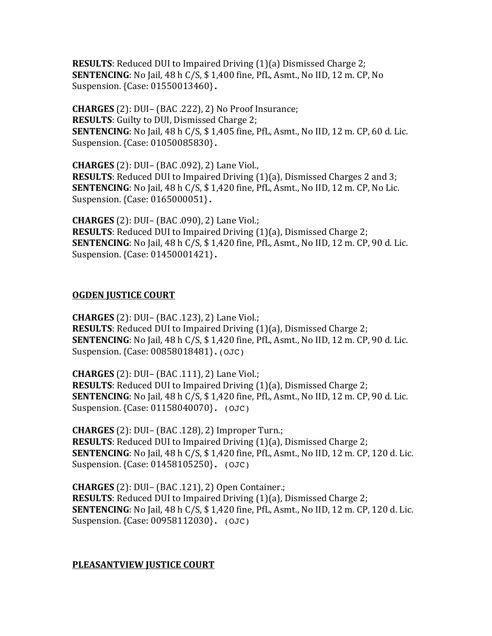**RESULTS:** Reduced DUI to Impaired Driving (1)(a) Dismissed Charge 2; **SENTENCING**: No Jail, 48 h C/S, \$ 1,400 fine, PfL, Asmt., No IID, 12 m. CP, No Suspension. {Case: 01550013460}.

**CHARGES** (2): DUI- (BAC .222), 2) No Proof Insurance; **RESULTS:** Guilty to DUI, Dismissed Charge 2: **SENTENCING**: No Jail, 48 h C/S, \$ 1,405 fine, PfL, Asmt., No IID, 12 m. CP, 60 d. Lic. Suspension. {Case: 01050085830}.

**CHARGES** (2): DUI– (BAC .092), 2) Lane Viol., **RESULTS:** Reduced DUI to Impaired Driving (1)(a), Dismissed Charges 2 and 3; **SENTENCING**: No Jail, 48 h C/S, \$ 1,420 fine, PfL, Asmt., No IID, 12 m. CP, No Lic. Suspension. {Case: 0165000051}.

**CHARGES** (2): DUI- (BAC .090), 2) Lane Viol.; **RESULTS:** Reduced DUI to Impaired Driving (1)(a), Dismissed Charge 2; **SENTENCING**: No Jail, 48 h C/S, \$ 1,420 fine, PfL, Asmt., No IID, 12 m. CP, 90 d. Lic. Suspension. {Case: 01450001421}.

#### **OGDEN JUSTICE COURT**

**CHARGES** (2): DUI– (BAC .123), 2) Lane Viol.; **RESULTS:** Reduced DUI to Impaired Driving (1)(a), Dismissed Charge 2; **SENTENCING**: No Jail, 48 h C/S, \$ 1,420 fine, PfL, Asmt., No IID, 12 m. CP, 90 d. Lic. Suspension. {Case: 00858018481}. (OJC)

**CHARGES** (2): DUI– (BAC .111), 2) Lane Viol.; **RESULTS:** Reduced DUI to Impaired Driving (1)(a), Dismissed Charge 2; **SENTENCING**: No Jail, 48 h C/S, \$ 1,420 fine, PfL, Asmt., No IID, 12 m. CP, 90 d. Lic. Suspension. {Case: 01158040070}. (OJC)

**CHARGES** (2): DUI– (BAC .128), 2) Improper Turn.; **RESULTS:** Reduced DUI to Impaired Driving (1)(a), Dismissed Charge 2; **SENTENCING**: No Jail, 48 h C/S, \$ 1,420 fine, PfL, Asmt., No IID, 12 m. CP, 120 d. Lic. Suspension. {Case: 01458105250}. (OJC)

**CHARGES** (2): DUI– (BAC .121), 2) Open Container.; **RESULTS**: Reduced DUI to Impaired Driving (1)(a), Dismissed Charge 2; **SENTENCING**: No Jail, 48 h C/S, \$ 1,420 fine, PfL, Asmt., No IID, 12 m. CP, 120 d. Lic. Suspension. {Case: 00958112030}. (OJC)

#### **PLEASANTVIEW JUSTICE COURT**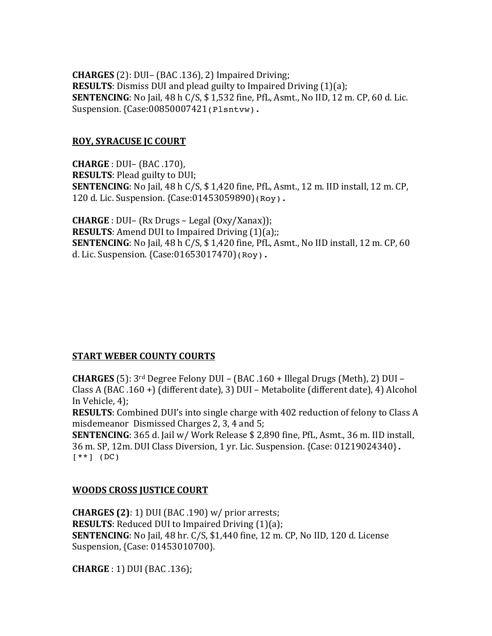**CHARGES** (2): DUI- (BAC .136), 2) Impaired Driving; **RESULTS:** Dismiss DUI and plead guilty to Impaired Driving (1)(a); **SENTENCING**: No Jail, 48 h C/S, \$ 1,532 fine, PfL, Asmt., No IID, 12 m. CP, 60 d. Lic. Suspension. {Case:00850007421(Plsntvw).

## **ROY, SYRACUSE JC COURT**

**CHARGE** : DUI- (BAC .170), **RESULTS:** Plead guilty to DUI; **SENTENCING**: No Jail, 48 h C/S, \$ 1,420 fine, PfL, Asmt., 12 m. IID install, 12 m. CP, 120 d. Lic. Suspension. {Case:01453059890} (Roy).

**CHARGE** : DUI– (Rx Drugs – Legal (Oxy/Xanax)); **RESULTS:** Amend DUI to Impaired Driving (1)(a);; **SENTENCING**: No Jail, 48 h C/S, \$ 1,420 fine, PfL, Asmt., No IID install, 12 m. CP, 60 d. Lic. Suspension.  $\{Case: 01653017470\}$  (Roy).

## **START WEBER COUNTY COURTS**

**CHARGES** (5):  $3^{\text{rd}}$  Degree Felony DUI – (BAC .160 + Illegal Drugs (Meth), 2) DUI – Class A (BAC .160 +) (different date), 3) DUI – Metabolite (different date), 4) Alcohol In Vehicle, 4);

**RESULTS:** Combined DUI's into single charge with 402 reduction of felony to Class A misdemeanor Dismissed Charges 2, 3, 4 and 5;

**SENTENCING**: 365 d. Jail w/ Work Release \$ 2,890 fine, PfL, Asmt., 36 m. IID install, 36 m. SP, 12m. DUI Class Diversion, 1 yr. Lic. Suspension. {Case: 01219024340}.  $[**]$  (DC)

## **WOODS CROSS JUSTICE COURT**

**CHARGES** (2): 1) DUI (BAC .190) w/ prior arrests; **RESULTS:** Reduced DUI to Impaired Driving (1)(a); **SENTENCING**: No Jail, 48 hr. C/S, \$1,440 fine, 12 m. CP, No IID, 120 d. License Suspension, {Case: 01453010700}.

**CHARGE**: 1) DUI (BAC .136);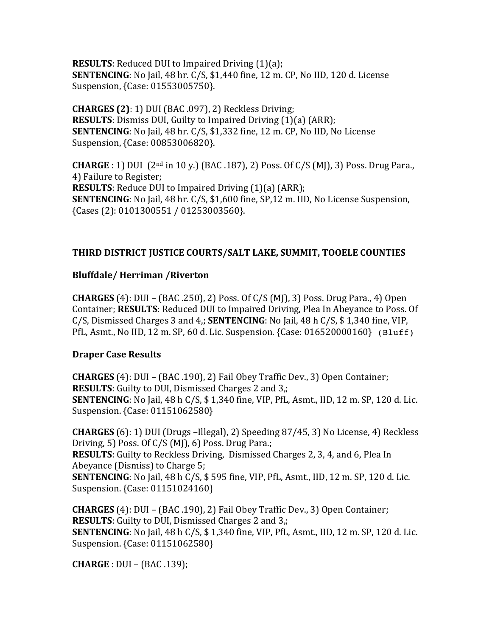**RESULTS:** Reduced DUI to Impaired Driving (1)(a); **SENTENCING**: No Jail, 48 hr. C/S, \$1,440 fine, 12 m. CP, No IID, 120 d. License Suspension, {Case: 01553005750}.

**CHARGES** (2): 1) DUI (BAC .097), 2) Reckless Driving; **RESULTS**: Dismiss DUI, Guilty to Impaired Driving (1)(a) (ARR): **SENTENCING**: No Jail, 48 hr. C/S, \$1,332 fine, 12 m. CP, No IID, No License Suspension, {Case: 00853006820}.

**CHARGE**: 1) DUI  $(2<sup>nd</sup> in 10 y.)$  (BAC .187), 2) Poss. Of C/S (MJ), 3) Poss. Drug Para., 4) Failure to Register; **RESULTS:** Reduce DUI to Impaired Driving (1)(a) (ARR); **SENTENCING**: No Jail, 48 hr. C/S, \$1,600 fine, SP,12 m. IID, No License Suspension,  ${ {\text{Cases (2): 0101300551 / 01253003560}}}$ .

## **THIRD DISTRICT JUSTICE COURTS/SALT LAKE, SUMMIT, TOOELE COUNTIES**

#### **Bluffdale/ Herriman /Riverton**

**CHARGES** (4): DUI – (BAC .250), 2) Poss. Of  $C/S$  (MJ), 3) Poss. Drug Para., 4) Open Container; **RESULTS**: Reduced DUI to Impaired Driving, Plea In Abeyance to Poss. Of C/S, Dismissed Charges 3 and 4,; **SENTENCING**: No Jail, 48 h C/S, \$ 1,340 fine, VIP, PfL, Asmt., No IID, 12 m. SP, 60 d. Lic. Suspension. {Case:  $016520000160$ } (Bluff)

#### **Draper Case Results**

**CHARGES** (4):  $DUI - (BAC.190)$ , 2) Fail Obey Traffic Dev., 3) Open Container; **RESULTS:** Guilty to DUI, Dismissed Charges 2 and 3,; **SENTENCING**: No Jail, 48 h C/S, \$ 1,340 fine, VIP, PfL, Asmt., IID, 12 m. SP, 120 d. Lic. Suspension. {Case: 01151062580}

**CHARGES** (6): 1) DUI (Drugs -Illegal), 2) Speeding 87/45, 3) No License, 4) Reckless Driving, 5) Poss. Of  $C/S$  (MJ), 6) Poss. Drug Para.; **RESULTS**: Guilty to Reckless Driving, Dismissed Charges 2, 3, 4, and 6, Plea In Abeyance (Dismiss) to Charge 5; **SENTENCING**: No Jail, 48 h C/S, \$ 595 fine, VIP, PfL, Asmt., IID, 12 m. SP, 120 d. Lic. Suspension. {Case: 01151024160}

**CHARGES** (4):  $DUI - (BAC.190)$ , 2) Fail Obey Traffic Dev., 3) Open Container; **RESULTS:** Guilty to DUI, Dismissed Charges 2 and 3,; **SENTENCING**: No Jail, 48 h C/S, \$ 1,340 fine, VIP, PfL, Asmt., IID, 12 m. SP, 120 d. Lic. Suspension. {Case: 01151062580}

**CHARGE**: DUI – (BAC.139);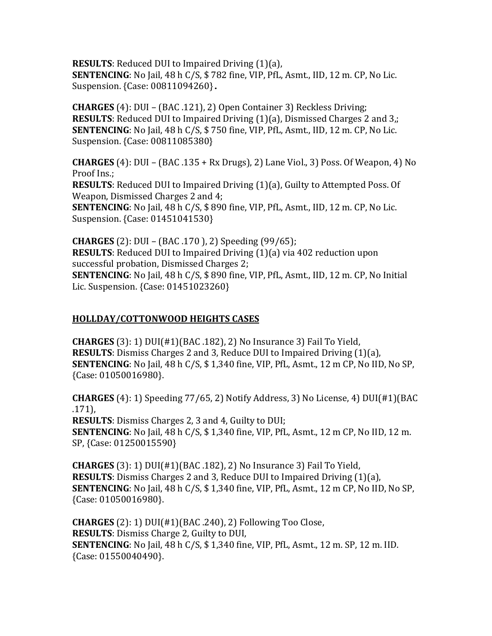**RESULTS:** Reduced DUI to Impaired Driving (1)(a), **SENTENCING**: No Jail, 48 h C/S, \$782 fine, VIP, PfL, Asmt., IID, 12 m. CP, No Lic. Suspension. {Case: 00811094260}.

**CHARGES** (4): DUI - (BAC .121), 2) Open Container 3) Reckless Driving; **RESULTS**: Reduced DUI to Impaired Driving (1)(a), Dismissed Charges 2 and 3,; **SENTENCING**: No Jail, 48 h C/S, \$750 fine, VIP, PfL, Asmt., IID, 12 m. CP, No Lic. Suspension. {Case: 00811085380}

**CHARGES** (4): DUI – (BAC .135 + Rx Drugs), 2) Lane Viol., 3) Poss. Of Weapon, 4) No Proof Ins.:

**RESULTS:** Reduced DUI to Impaired Driving (1)(a), Guilty to Attempted Poss. Of Weapon, Dismissed Charges 2 and 4;

**SENTENCING**: No Jail, 48 h C/S, \$ 890 fine, VIP, PfL, Asmt., IID, 12 m. CP, No Lic. Suspension. {Case: 01451041530}

**CHARGES** (2): DUI – (BAC .170), 2) Speeding (99/65); **RESULTS:** Reduced DUI to Impaired Driving (1)(a) via 402 reduction upon successful probation, Dismissed Charges 2; **SENTENCING**: No Jail, 48 h C/S, \$ 890 fine, VIP, PfL, Asmt., IID, 12 m. CP, No Initial Lic. Suspension. {Case: 01451023260}

## **HOLLDAY/COTTONWOOD HEIGHTS CASES**

**CHARGES** (3): 1) DUI(#1)(BAC .182), 2) No Insurance 3) Fail To Yield, **RESULTS**: Dismiss Charges 2 and 3, Reduce DUI to Impaired Driving (1)(a), **SENTENCING**: No Jail, 48 h C/S, \$ 1,340 fine, VIP, PfL, Asmt., 12 m CP, No IID, No SP, {Case: 01050016980}.

**CHARGES**  $(4)$ : 1) Speeding  $77/65$ , 2) Notify Address, 3) No License, 4) DUI $(#1)$ (BAC .171), **RESULTS:** Dismiss Charges 2, 3 and 4, Guilty to DUI;

**SENTENCING**: No Jail, 48 h C/S, \$ 1,340 fine, VIP, PfL, Asmt., 12 m CP, No IID, 12 m. SP, {Case: 01250015590}

**CHARGES** (3): 1) DUI(#1)(BAC .182), 2) No Insurance 3) Fail To Yield, **RESULTS**: Dismiss Charges 2 and 3, Reduce DUI to Impaired Driving (1)(a), **SENTENCING**: No Jail, 48 h C/S, \$ 1,340 fine, VIP, PfL, Asmt., 12 m CP, No IID, No SP, {Case: 01050016980}.

**CHARGES**  $(2)$ : 1)  $DUI(H1)(BAC.240)$ , 2) Following Too Close, **RESULTS:** Dismiss Charge 2, Guilty to DUI, **SENTENCING**: No Jail, 48 h C/S, \$ 1,340 fine, VIP, PfL, Asmt., 12 m. SP, 12 m. IID. {Case: 01550040490}.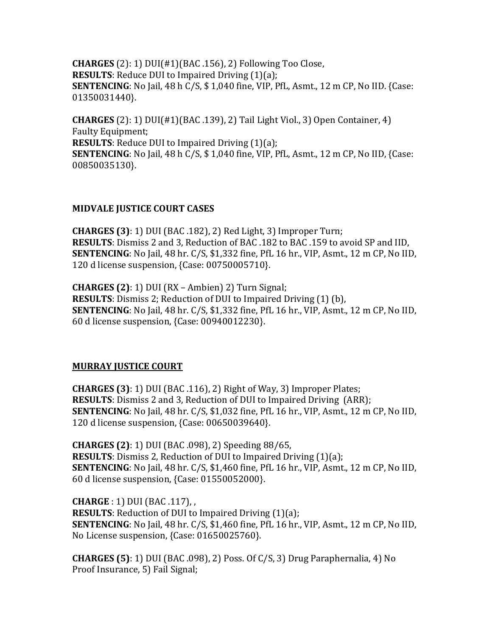**CHARGES** (2): 1) DUI(#1)(BAC.156), 2) Following Too Close, **RESULTS:** Reduce DUI to Impaired Driving (1)(a); **SENTENCING**: No Jail,  $48 h C/S$ ,  $$1,040$  fine, VIP, PfL, Asmt.,  $12 m C$ P, No IID. {Case: 01350031440}.

**CHARGES** (2): 1)  $DUI(#1)(BAC.139)$ , 2) Tail Light Viol., 3) Open Container, 4) Faulty Equipment; **RESULTS:** Reduce DUI to Impaired Driving (1)(a); **SENTENCING**: No Jail, 48 h C/S, \$ 1,040 fine, VIP, PfL, Asmt., 12 m CP, No IID, {Case: 00850035130}.

## **MIDVALE JUSTICE COURT CASES**

**CHARGES** (3): 1) DUI (BAC .182), 2) Red Light, 3) Improper Turn; **RESULTS**: Dismiss 2 and 3, Reduction of BAC .182 to BAC .159 to avoid SP and IID, **SENTENCING**: No Jail, 48 hr. C/S, \$1,332 fine, PfL 16 hr., VIP, Asmt., 12 m CP, No IID, 120 d license suspension, {Case: 00750005710}.

**CHARGES** (2): 1) DUI (RX – Ambien) 2) Turn Signal; **RESULTS:** Dismiss 2; Reduction of DUI to Impaired Driving (1) (b), **SENTENCING**: No Jail, 48 hr. C/S, \$1,332 fine, PfL 16 hr., VIP, Asmt., 12 m CP, No IID, 60 d license suspension, {Case: 00940012230}.

## **MURRAY JUSTICE COURT**

**CHARGES** (3): 1) DUI (BAC .116), 2) Right of Way, 3) Improper Plates; **RESULTS:** Dismiss 2 and 3, Reduction of DUI to Impaired Driving (ARR); **SENTENCING**: No Jail, 48 hr. C/S, \$1,032 fine, PfL 16 hr., VIP, Asmt., 12 m CP, No IID, 120 d license suspension, {Case: 00650039640}.

**CHARGES (2)**: 1) DUI (BAC .098), 2) Speeding 88/65, **RESULTS:** Dismiss 2, Reduction of DUI to Impaired Driving (1)(a); **SENTENCING**: No Jail, 48 hr. C/S, \$1,460 fine, PfL 16 hr., VIP, Asmt., 12 m CP, No IID, 60 d license suspension, {Case: 01550052000}.

**CHARGE**: 1) DUI (BAC .117), **RESULTS:** Reduction of DUI to Impaired Driving (1)(a); **SENTENCING**: No Jail, 48 hr. C/S, \$1,460 fine, PfL 16 hr., VIP, Asmt., 12 m CP, No IID, No License suspension, {Case: 01650025760}.

**CHARGES** (5): 1) DUI (BAC .098), 2) Poss. Of C/S, 3) Drug Paraphernalia, 4) No Proof Insurance, 5) Fail Signal;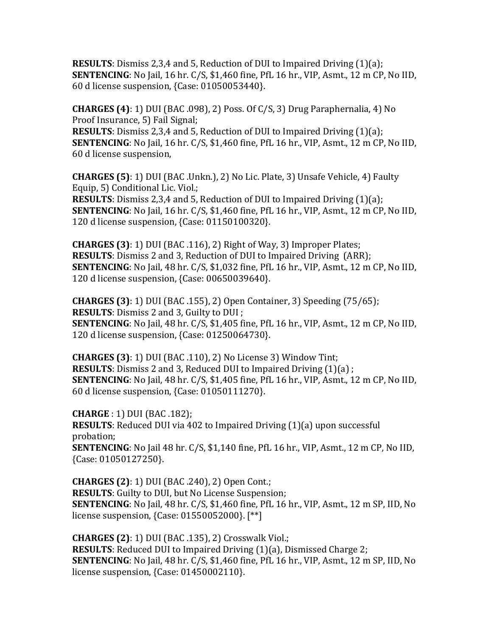**RESULTS**: Dismiss 2,3,4 and 5, Reduction of DUI to Impaired Driving (1)(a); **SENTENCING**: No Jail, 16 hr. C/S, \$1,460 fine, PfL 16 hr., VIP, Asmt., 12 m CP, No IID, 60 d license suspension, {Case: 01050053440}.

**CHARGES** (4): 1) DUI (BAC .098), 2) Poss. Of C/S, 3) Drug Paraphernalia, 4) No Proof Insurance, 5) Fail Signal; **RESULTS**: Dismiss 2,3,4 and 5, Reduction of DUI to Impaired Driving (1)(a);

**SENTENCING**: No Jail, 16 hr. C/S, \$1,460 fine, PfL 16 hr., VIP, Asmt., 12 m CP, No IID, 60 d license suspension, 

**CHARGES** (5): 1) DUI (BAC .Unkn.), 2) No Lic. Plate, 3) Unsafe Vehicle, 4) Faulty Equip, 5) Conditional Lic. Viol.; **RESULTS**: Dismiss 2,3,4 and 5, Reduction of DUI to Impaired Driving (1)(a); **SENTENCING**: No Jail, 16 hr. C/S, \$1,460 fine, PfL 16 hr., VIP, Asmt., 12 m CP, No IID, 120 d license suspension, {Case: 01150100320}.

**CHARGES** (3): 1) DUI (BAC .116), 2) Right of Way, 3) Improper Plates; **RESULTS:** Dismiss 2 and 3, Reduction of DUI to Impaired Driving (ARR); **SENTENCING**: No Jail, 48 hr. C/S, \$1,032 fine, PfL 16 hr., VIP, Asmt., 12 m CP, No IID, 120 d license suspension, {Case: 00650039640}.

**CHARGES** (3): 1) DUI (BAC .155), 2) Open Container, 3) Speeding (75/65); **RESULTS:** Dismiss 2 and 3, Guilty to DUI ; **SENTENCING**: No Jail, 48 hr. C/S, \$1,405 fine, PfL 16 hr., VIP, Asmt., 12 m CP, No IID, 120 d license suspension, {Case: 01250064730}.

**CHARGES** (3): 1) DUI (BAC .110), 2) No License 3) Window Tint; **RESULTS:** Dismiss 2 and 3, Reduced DUI to Impaired Driving (1)(a) ; **SENTENCING**: No Jail, 48 hr. C/S, \$1,405 fine, PfL 16 hr., VIP, Asmt., 12 m CP, No IID, 60 d license suspension, {Case: 01050111270}.

**CHARGE**: 1) DUI (BAC .182); **RESULTS:** Reduced DUI via 402 to Impaired Driving (1)(a) upon successful probation; **SENTENCING**: No Jail  $48$  hr.  $C/S$ ,  $$1,140$  fine, PfL 16 hr., VIP, Asmt., 12 m CP, No IID, {Case: 01050127250}. 

**CHARGES** (2): 1) DUI (BAC .240), 2) Open Cont.; **RESULTS:** Guilty to DUI, but No License Suspension; **SENTENCING**: No Jail, 48 hr. C/S, \$1,460 fine, PfL 16 hr., VIP, Asmt., 12 m SP, IID, No license suspension, {Case:  $01550052000$ }. [\*\*]

**CHARGES** (2): 1) DUI (BAC .135), 2) Crosswalk Viol.; **RESULTS:** Reduced DUI to Impaired Driving (1)(a), Dismissed Charge 2; **SENTENCING**: No Jail, 48 hr. C/S, \$1,460 fine, PfL 16 hr., VIP, Asmt., 12 m SP, IID, No license suspension,  ${Case: } 01450002110$ .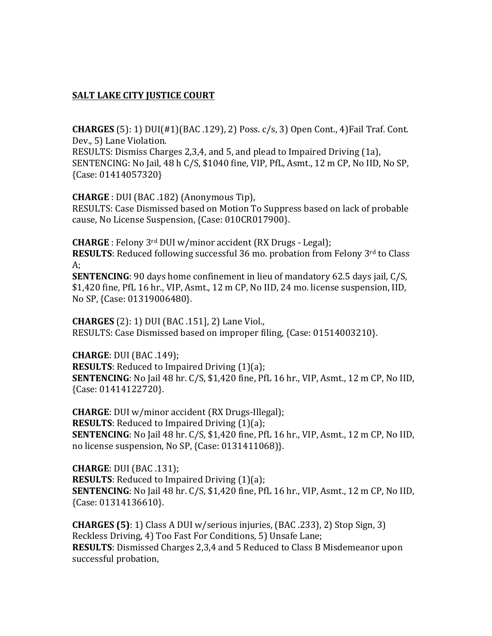## **SALT LAKE CITY JUSTICE COURT**

**CHARGES** (5): 1)  $DUI(#1)(BAC.129)$ , 2) Poss.  $c/s$ , 3) Open Cont., 4) Fail Traf. Cont. Dev., 5) Lane Violation.

RESULTS: Dismiss Charges 2,3,4, and 5, and plead to Impaired Driving (1a), SENTENCING: No Jail, 48 h C/S, \$1040 fine, VIP, PfL, Asmt., 12 m CP, No IID, No SP, {Case: 01414057320}

**CHARGE**: DUI (BAC.182) (Anonymous Tip), RESULTS: Case Dismissed based on Motion To Suppress based on lack of probable cause, No License Suspension, {Case: 010CR017900}.

**CHARGE**: Felony 3<sup>rd</sup> DUI w/minor accident (RX Drugs - Legal); **RESULTS**: Reduced following successful 36 mo. probation from Felony 3<sup>rd</sup> to Class A; 

**SENTENCING**: 90 days home confinement in lieu of mandatory 62.5 days jail, C/S,  $$1,420$  fine, PfL 16 hr., VIP, Asmt., 12 m CP, No IID, 24 mo. license suspension, IID, No SP, {Case: 01319006480}.

**CHARGES** (2): 1) DUI (BAC .151], 2) Lane Viol., RESULTS: Case Dismissed based on improper filing, {Case: 01514003210}.

**CHARGE:** DUI (BAC .149); **RESULTS:** Reduced to Impaired Driving (1)(a); **SENTENCING**: No Jail 48 hr. C/S, \$1,420 fine, PfL 16 hr., VIP, Asmt., 12 m CP, No IID, {Case: 01414122720}.

**CHARGE:** DUI w/minor accident (RX Drugs-Illegal); **RESULTS:** Reduced to Impaired Driving (1)(a); **SENTENCING**: No Jail 48 hr. C/S, \$1,420 fine, PfL 16 hr., VIP, Asmt., 12 m CP, No IID, no license suspension, No SP, {Case: 0131411068)}.

**CHARGE:** DUI (BAC .131); **RESULTS:** Reduced to Impaired Driving (1)(a); **SENTENCING**: No Jail 48 hr. C/S, \$1,420 fine, PfL 16 hr., VIP, Asmt., 12 m CP, No IID, {Case: 01314136610}.

**CHARGES** (5): 1) Class A DUI w/serious injuries,  $(BAC.233)$ , 2) Stop Sign, 3) Reckless Driving, 4) Too Fast For Conditions, 5) Unsafe Lane; **RESULTS:** Dismissed Charges 2,3,4 and 5 Reduced to Class B Misdemeanor upon successful probation,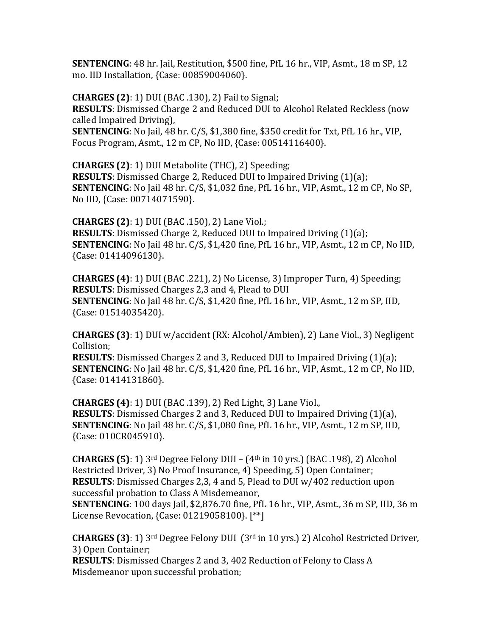**SENTENCING**: 48 hr. Jail, Restitution, \$500 fine, PfL 16 hr., VIP, Asmt., 18 m SP, 12 mo. IID Installation, {Case: 00859004060}.

**CHARGES** (2): 1) DUI (BAC .130), 2) Fail to Signal; **RESULTS:** Dismissed Charge 2 and Reduced DUI to Alcohol Related Reckless (now called Impaired Driving).

**SENTENCING**: No Jail, 48 hr. C/S, \$1,380 fine, \$350 credit for Txt, PfL 16 hr., VIP, Focus Program, Asmt., 12 m CP, No IID, {Case: 00514116400}.

**CHARGES** (2): 1) DUI Metabolite (THC), 2) Speeding; **RESULTS:** Dismissed Charge 2, Reduced DUI to Impaired Driving (1)(a); **SENTENCING**: No Jail 48 hr. C/S, \$1,032 fine, PfL 16 hr., VIP, Asmt., 12 m CP, No SP, No IID, {Case: 00714071590}.

**CHARGES (2):** 1) DUI (BAC .150), 2) Lane Viol.; **RESULTS:** Dismissed Charge 2, Reduced DUI to Impaired Driving (1)(a); **SENTENCING**: No Jail 48 hr. C/S, \$1,420 fine, PfL 16 hr., VIP, Asmt., 12 m CP, No IID, {Case: 01414096130}.

**CHARGES** (4): 1) DUI (BAC .221), 2) No License, 3) Improper Turn, 4) Speeding; **RESULTS**: Dismissed Charges 2,3 and 4, Plead to DUI **SENTENCING**: No Jail 48 hr. C/S, \$1,420 fine, PfL 16 hr., VIP, Asmt., 12 m SP, IID, {Case: 01514035420}.

**CHARGES** (3): 1) DUI w/accident (RX: Alcohol/Ambien), 2) Lane Viol., 3) Negligent Collision; 

**RESULTS**: Dismissed Charges 2 and 3, Reduced DUI to Impaired Driving (1)(a); **SENTENCING**: No Jail 48 hr. C/S, \$1,420 fine, PfL 16 hr., VIP, Asmt., 12 m CP, No IID, {Case: 01414131860}.

**CHARGES** (4): 1) DUI (BAC .139), 2) Red Light, 3) Lane Viol., **RESULTS:** Dismissed Charges 2 and 3, Reduced DUI to Impaired Driving (1)(a), **SENTENCING**: No Jail 48 hr. C/S, \$1,080 fine, PfL 16 hr., VIP, Asmt., 12 m SP, IID, {Case: 010CR045910}.

**CHARGES** (5): 1)  $3^{rd}$  Degree Felony DUI –  $(4^{th}$  in 10 yrs.) (BAC .198), 2) Alcohol Restricted Driver, 3) No Proof Insurance, 4) Speeding, 5) Open Container; **RESULTS:** Dismissed Charges 2,3, 4 and 5, Plead to DUI w/402 reduction upon successful probation to Class A Misdemeanor,

**SENTENCING**: 100 days Jail, \$2,876.70 fine, PfL 16 hr., VIP, Asmt., 36 m SP, IID, 36 m License Revocation, {Case:  $01219058100$ }. [\*\*]

**CHARGES** (3): 1) 3<sup>rd</sup> Degree Felony DUI (3<sup>rd</sup> in 10 yrs.) 2) Alcohol Restricted Driver, 3) Open Container; 

**RESULTS:** Dismissed Charges 2 and 3, 402 Reduction of Felony to Class A Misdemeanor upon successful probation;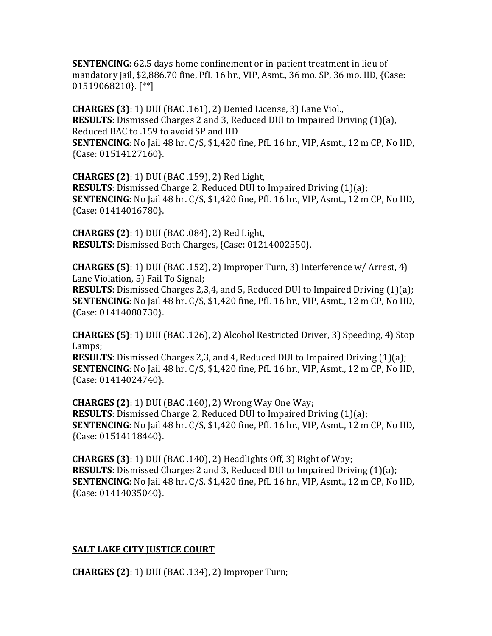**SENTENCING**: 62.5 days home confinement or in-patient treatment in lieu of mandatory jail,  $$2,886.70$  fine, PfL 16 hr., VIP, Asmt., 36 mo. SP, 36 mo. IID, {Case:  $01519068210$ }. [\*\*]

**CHARGES** (3): 1) DUI (BAC .161), 2) Denied License, 3) Lane Viol., **RESULTS:** Dismissed Charges 2 and 3, Reduced DUI to Impaired Driving (1)(a), Reduced BAC to .159 to avoid SP and IID **SENTENCING**: No Jail 48 hr. C/S, \$1,420 fine, PfL 16 hr., VIP, Asmt., 12 m CP, No IID, {Case: 01514127160}.

**CHARGES (2)**: 1) DUI (BAC .159), 2) Red Light, **RESULTS:** Dismissed Charge 2, Reduced DUI to Impaired Driving (1)(a); **SENTENCING**: No Jail 48 hr. C/S, \$1,420 fine, PfL 16 hr., VIP, Asmt., 12 m CP, No IID, {Case: 01414016780}.

**CHARGES (2)**: 1) DUI (BAC .084), 2) Red Light, **RESULTS**: Dismissed Both Charges, {Case: 01214002550}.

**CHARGES** (5): 1) DUI (BAC .152), 2) Improper Turn, 3) Interference  $w/$  Arrest, 4) Lane Violation, 5) Fail To Signal;

**RESULTS:** Dismissed Charges 2,3,4, and 5, Reduced DUI to Impaired Driving  $(1)(a)$ ; **SENTENCING**: No Jail 48 hr. C/S, \$1,420 fine, PfL 16 hr., VIP, Asmt., 12 m CP, No IID, {Case: 01414080730}.

**CHARGES** (5): 1) DUI (BAC .126), 2) Alcohol Restricted Driver, 3) Speeding, 4) Stop Lamps; 

**RESULTS**: Dismissed Charges 2,3, and 4, Reduced DUI to Impaired Driving (1)(a); **SENTENCING**: No Jail 48 hr. C/S, \$1,420 fine, PfL 16 hr., VIP, Asmt., 12 m CP, No IID, {Case: 01414024740}.

**CHARGES (2):** 1) DUI (BAC .160), 2) Wrong Way One Way; **RESULTS**: Dismissed Charge 2, Reduced DUI to Impaired Driving (1)(a); **SENTENCING**: No Jail 48 hr. C/S, \$1,420 fine, PfL 16 hr., VIP, Asmt., 12 m CP, No IID, {Case: 01514118440}.

**CHARGES** (3): 1) DUI (BAC .140), 2) Headlights Off, 3) Right of Way; **RESULTS:** Dismissed Charges 2 and 3, Reduced DUI to Impaired Driving (1)(a); **SENTENCING**: No Jail 48 hr. C/S, \$1,420 fine, PfL 16 hr., VIP, Asmt., 12 m CP, No IID, {Case: 01414035040}.

## **SALT LAKE CITY JUSTICE COURT**

**CHARGES** (2): 1) DUI (BAC .134), 2) Improper Turn;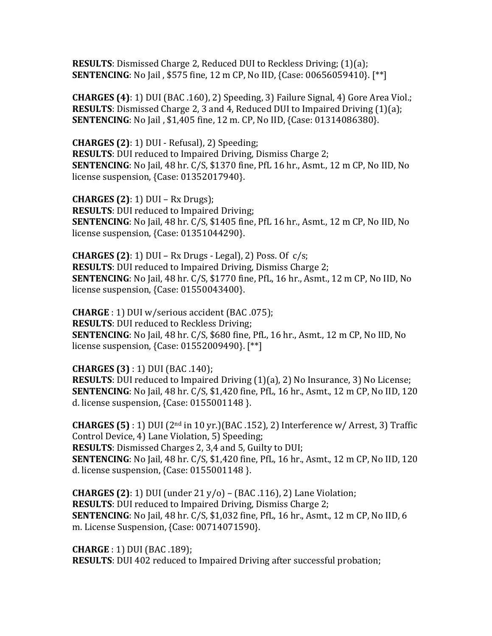**RESULTS:** Dismissed Charge 2, Reduced DUI to Reckless Driving; (1)(a); **SENTENCING**: No Jail, \$575 fine, 12 m CP, No IID, {Case: 00656059410}. [\*\*]

**CHARGES** (4): 1) DUI (BAC .160), 2) Speeding, 3) Failure Signal, 4) Gore Area Viol.; **RESULTS**: Dismissed Charge 2, 3 and 4, Reduced DUI to Impaired Driving (1)(a); **SENTENCING**: No Jail, \$1,405 fine, 12 m. CP, No IID, {Case: 01314086380}.

**CHARGES** (2): 1) DUI - Refusal), 2) Speeding; **RESULTS:** DUI reduced to Impaired Driving, Dismiss Charge 2; **SENTENCING**: No Jail, 48 hr. C/S, \$1370 fine, PfL 16 hr., Asmt., 12 m CP, No IID, No license suspension, {Case: 01352017940}.

**CHARGES** (2): 1) DUI – Rx Drugs); **RESULTS:** DUI reduced to Impaired Driving; **SENTENCING**: No Jail, 48 hr. C/S, \$1405 fine, PfL 16 hr., Asmt., 12 m CP, No IID, No license suspension, {Case: 01351044290}.

**CHARGES**  $(2)$ : 1) DUI – Rx Drugs - Legal), 2) Poss. Of  $c/s$ ; **RESULTS:** DUI reduced to Impaired Driving, Dismiss Charge 2; **SENTENCING**: No Jail, 48 hr. C/S, \$1770 fine, PfL, 16 hr., Asmt., 12 m CP, No IID, No license suspension,  ${Case: }01550043400$ .

**CHARGE**: 1) DUI w/serious accident (BAC .075); **RESULTS:** DUI reduced to Reckless Driving; **SENTENCING**: No Jail, 48 hr. C/S, \$680 fine, PfL, 16 hr., Asmt., 12 m CP, No IID, No license suspension,  ${Case: } 01552009490$ .  $[**]$ 

**CHARGES (3)**: 1) DUI (BAC .140);

**RESULTS**: DUI reduced to Impaired Driving (1)(a), 2) No Insurance, 3) No License; **SENTENCING**: No Jail, 48 hr. C/S, \$1,420 fine, PfL, 16 hr., Asmt., 12 m CP, No IID, 120 d. license suspension,  ${Case: }0155001148$   $.$ 

**CHARGES** (5) : 1) DUI ( $2<sup>nd</sup>$  in 10 yr.)(BAC .152), 2) Interference w/ Arrest, 3) Traffic Control Device, 4) Lane Violation, 5) Speeding; **RESULTS:** Dismissed Charges 2, 3,4 and 5, Guilty to DUI; **SENTENCING**: No Jail, 48 hr. C/S, \$1,420 fine, PfL, 16 hr., Asmt., 12 m CP, No IID, 120 d. license suspension,  ${Case: }0155001148$   $.$ 

**CHARGES** (2): 1) DUI (under 21  $y$ /o) – (BAC .116), 2) Lane Violation; **RESULTS:** DUI reduced to Impaired Driving, Dismiss Charge 2; **SENTENCING**: No Jail, 48 hr. C/S, \$1,032 fine, PfL, 16 hr., Asmt., 12 m CP, No IID, 6 m. License Suspension, {Case: 00714071590}.

**CHARGE**: 1) DUI (BAC .189): **RESULTS:** DUI 402 reduced to Impaired Driving after successful probation;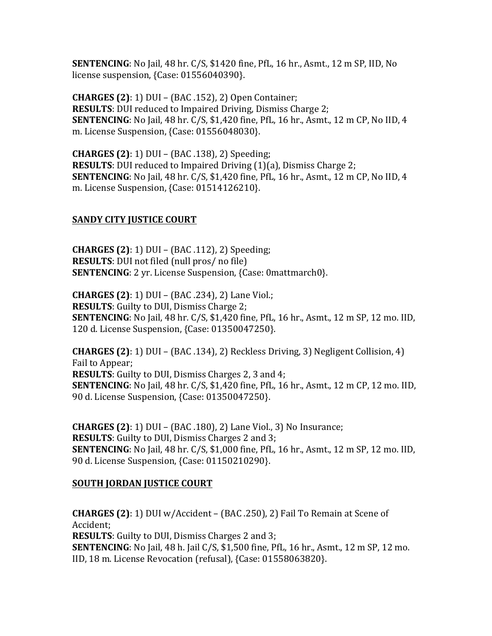**SENTENCING**: No Jail, 48 hr. C/S, \$1420 fine, PfL, 16 hr., Asmt., 12 m SP, IID, No license suspension, {Case: 01556040390}.

**CHARGES** (2): 1) DUI – (BAC .152), 2) Open Container; **RESULTS:** DUI reduced to Impaired Driving, Dismiss Charge 2; **SENTENCING**: No Jail, 48 hr. C/S, \$1,420 fine, PfL, 16 hr., Asmt., 12 m CP, No IID, 4 m. License Suspension, {Case: 01556048030}.

**CHARGES** (2): 1) DUI – (BAC .138), 2) Speeding; **RESULTS:** DUI reduced to Impaired Driving (1)(a), Dismiss Charge 2; **SENTENCING**: No Jail, 48 hr. C/S, \$1,420 fine, PfL, 16 hr., Asmt., 12 m CP, No IID, 4 m. License Suspension, {Case: 01514126210}.

## **SANDY CITY JUSTICE COURT**

**CHARGES**  $(2)$ : 1) DUI –  $( BAC.112)$ , 2) Speeding; **RESULTS:** DUI not filed (null pros/ no file) **SENTENCING**: 2 yr. License Suspension, {Case: 0mattmarch0}.

**CHARGES** (2): 1) DUI – (BAC .234), 2) Lane Viol.; **RESULTS:** Guilty to DUI, Dismiss Charge 2; **SENTENCING**: No Jail, 48 hr. C/S, \$1,420 fine, PfL, 16 hr., Asmt., 12 m SP, 12 mo. IID, 120 d. License Suspension, {Case: 01350047250}. 

**CHARGES**  $(2)$ : 1) DUI –  $( BAC.134)$ , 2) Reckless Driving, 3) Negligent Collision, 4) Fail to Appear; **RESULTS:** Guilty to DUI, Dismiss Charges 2, 3 and 4; **SENTENCING**: No Jail, 48 hr. C/S, \$1,420 fine, PfL, 16 hr., Asmt., 12 m CP, 12 mo. IID, 90 d. License Suspension, {Case: 01350047250}.

**CHARGES** (2): 1) DUI – (BAC .180), 2) Lane Viol., 3) No Insurance; **RESULTS:** Guilty to DUI, Dismiss Charges 2 and 3; **SENTENCING**: No Jail, 48 hr. C/S, \$1,000 fine, PfL, 16 hr., Asmt., 12 m SP, 12 mo. IID, 90 d. License Suspension, {Case: 01150210290}.

## **SOUTH JORDAN JUSTICE COURT**

**CHARGES**  $(2)$ : 1) DUI w/Accident –  $(BAC.250)$ , 2) Fail To Remain at Scene of Accident; **RESULTS:** Guilty to DUI, Dismiss Charges 2 and 3; **SENTENCING**: No Jail, 48 h. Jail C/S, \$1,500 fine, PfL, 16 hr., Asmt., 12 m SP, 12 mo. IID, 18 m. License Revocation (refusal), {Case: 01558063820}.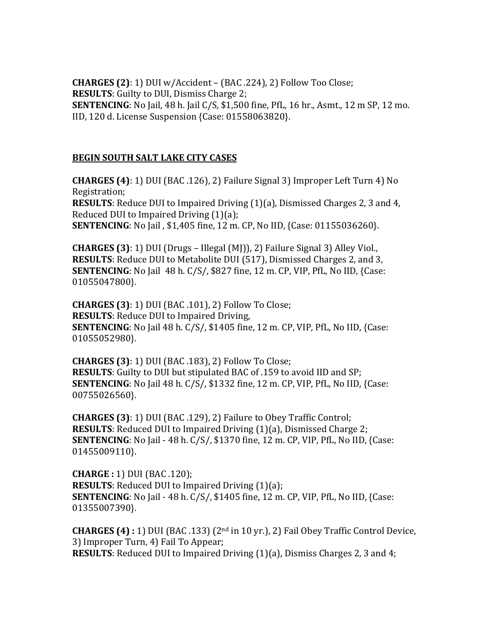**CHARGES** (2): 1) DUI w/Accident – (BAC .224), 2) Follow Too Close; **RESULTS:** Guilty to DUI, Dismiss Charge 2; **SENTENCING**: No Jail, 48 h. Jail C/S, \$1,500 fine, PfL, 16 hr., Asmt., 12 m SP, 12 mo. IID, 120 d. License Suspension {Case: 01558063820}.

#### **BEGIN SOUTH SALT LAKE CITY CASES**

**CHARGES** (4): 1) DUI (BAC .126), 2) Failure Signal 3) Improper Left Turn 4) No Registration; **RESULTS**: Reduce DUI to Impaired Driving (1)(a), Dismissed Charges 2, 3 and 4, Reduced DUI to Impaired Driving  $(1)(a)$ ; **SENTENCING**: No Jail, \$1,405 fine, 12 m. CP, No IID, {Case: 01155036260}.

**CHARGES** (3): 1) DUI (Drugs – Illegal  $(MI)$ ), 2) Failure Signal 3) Alley Viol. **RESULTS**: Reduce DUI to Metabolite DUI (517), Dismissed Charges 2, and 3, **SENTENCING**: No Jail  $48$  h.  $C/S/$ , \$827 fine, 12 m. CP, VIP, PfL, No IID, {Case: 01055047800}.

**CHARGES** (3): 1) DUI (BAC .101), 2) Follow To Close; **RESULTS:** Reduce DUI to Impaired Driving, **SENTENCING**: No Jail 48 h.  $C/S/$ , \$1405 fine, 12 m. CP, VIP, PfL, No IID, {Case: 01055052980}.

**CHARGES (3)**: 1) DUI (BAC .183), 2) Follow To Close; **RESULTS:** Guilty to DUI but stipulated BAC of .159 to avoid IID and SP; **SENTENCING**: No Jail 48 h. C/S/, \$1332 fine, 12 m. CP, VIP, PfL, No IID, {Case: 00755026560}.

**CHARGES** (3): 1) DUI (BAC .129), 2) Failure to Obey Traffic Control; **RESULTS:** Reduced DUI to Impaired Driving (1)(a), Dismissed Charge 2; **SENTENCING**: No Jail - 48 h. C/S/, \$1370 fine, 12 m. CP, VIP, PfL, No IID, {Case: 01455009110}.

**CHARGE** : 1) DUI (BAC .120); **RESULTS:** Reduced DUI to Impaired Driving (1)(a); **SENTENCING**: No Jail - 48 h. C/S/, \$1405 fine, 12 m. CP, VIP, PfL, No IID, {Case: 01355007390}.

**CHARGES** (4) : 1) DUI (BAC .133)  $(2<sup>nd</sup>$  in 10 yr.), 2) Fail Obey Traffic Control Device, 3) Improper Turn, 4) Fail To Appear; **RESULTS:** Reduced DUI to Impaired Driving (1)(a), Dismiss Charges 2, 3 and 4;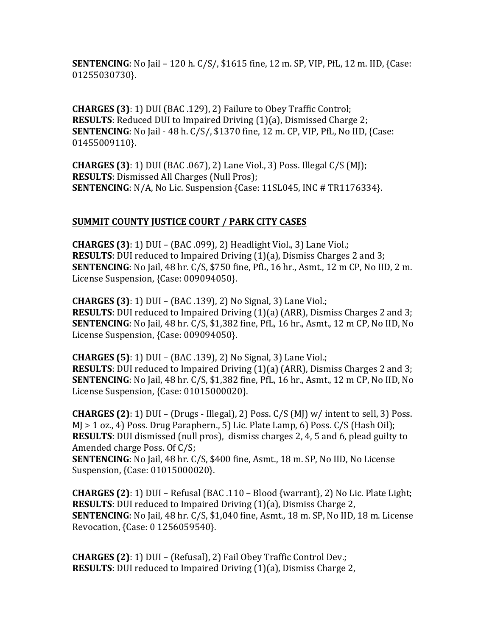**SENTENCING**: No Jail – 120 h.  $C/S/$ , \$1615 fine, 12 m. SP, VIP, PfL, 12 m. IID, {Case: 01255030730}.

**CHARGES** (3): 1) DUI (BAC .129), 2) Failure to Obey Traffic Control; **RESULTS:** Reduced DUI to Impaired Driving (1)(a), Dismissed Charge 2; **SENTENCING**: No Jail - 48 h. C/S/, \$1370 fine, 12 m. CP, VIP, PfL, No IID, {Case: 01455009110}.

**CHARGES** (3): 1) DUI (BAC .067), 2) Lane Viol., 3) Poss. Illegal C/S (MJ); **RESULTS:** Dismissed All Charges (Null Pros); **SENTENCING**: N/A, No Lic. Suspension {Case: 11SL045, INC # TR1176334}.

#### **SUMMIT COUNTY JUSTICE COURT / PARK CITY CASES**

**CHARGES** (3): 1) DUI – (BAC .099), 2) Headlight Viol., 3) Lane Viol.; **RESULTS:** DUI reduced to Impaired Driving (1)(a), Dismiss Charges 2 and 3; **SENTENCING**: No Jail, 48 hr. C/S, \$750 fine, PfL, 16 hr., Asmt., 12 m CP, No IID, 2 m. License Suspension, {Case: 009094050}.

**CHARGES** (3): 1) DUI – (BAC .139), 2) No Signal, 3) Lane Viol.; **RESULTS:** DUI reduced to Impaired Driving (1)(a) (ARR), Dismiss Charges 2 and 3; **SENTENCING**: No Jail, 48 hr. C/S, \$1,382 fine, PfL, 16 hr., Asmt., 12 m CP, No IID, No License Suspension, {Case: 009094050}.

**CHARGES** (5): 1) DUI – (BAC .139), 2) No Signal, 3) Lane Viol.; **RESULTS**: DUI reduced to Impaired Driving (1)(a) (ARR), Dismiss Charges 2 and 3; **SENTENCING**: No Jail, 48 hr. C/S, \$1,382 fine, PfL, 16 hr., Asmt., 12 m CP, No IID, No License Suspension, {Case: 01015000020}.

**CHARGES**  $(2)$ : 1) DUI – (Drugs - Illegal), 2) Poss.  $C/S$   $(M)$  w/ intent to sell, 3) Poss.  $M > 1$  oz., 4) Poss. Drug Paraphern., 5) Lic. Plate Lamp, 6) Poss.  $C/S$  (Hash Oil); **RESULTS**: DUI dismissed (null pros), dismiss charges 2, 4, 5 and 6, plead guilty to Amended charge Poss. Of C/S;

**SENTENCING**: No Jail, 48 hr. C/S, \$400 fine, Asmt., 18 m. SP, No IID, No License Suspension, {Case: 01015000020}.

**CHARGES** (2): 1) DUI – Refusal (BAC .110 – Blood {warrant}, 2) No Lic. Plate Light; **RESULTS:** DUI reduced to Impaired Driving (1)(a), Dismiss Charge 2, **SENTENCING**: No Jail, 48 hr. C/S, \$1,040 fine, Asmt., 18 m. SP, No IID, 18 m. License Revocation, {Case: 0 1256059540}.

**CHARGES** (2): 1) DUI – (Refusal), 2) Fail Obey Traffic Control Dev.; **RESULTS:** DUI reduced to Impaired Driving (1)(a), Dismiss Charge 2,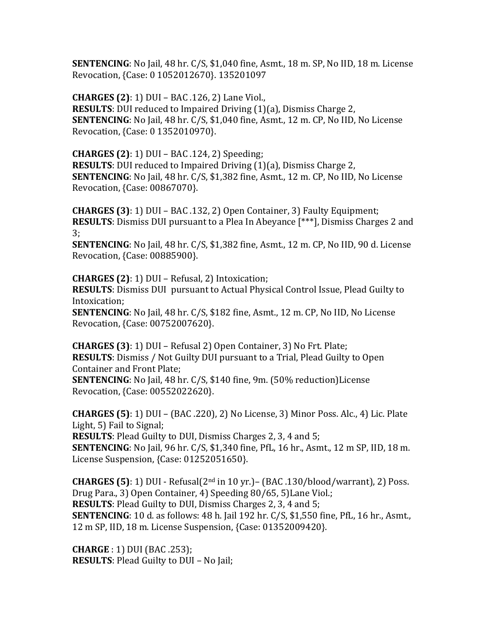**SENTENCING**: No Jail, 48 hr. C/S, \$1,040 fine, Asmt., 18 m. SP, No IID, 18 m. License Revocation, {Case: 0 1052012670}. 135201097

**CHARGES** (2): 1) DUI - BAC .126, 2) Lane Viol., **RESULTS:** DUI reduced to Impaired Driving (1)(a), Dismiss Charge 2, **SENTENCING**: No Jail, 48 hr. C/S, \$1,040 fine, Asmt., 12 m. CP, No IID, No License Revocation, {Case: 0 1352010970}.

**CHARGES** (2): 1) DUI – BAC .124, 2) Speeding;

**RESULTS:** DUI reduced to Impaired Driving (1)(a), Dismiss Charge 2, **SENTENCING**: No Jail, 48 hr. C/S, \$1,382 fine, Asmt., 12 m. CP, No IID, No License Revocation, {Case: 00867070}.

**CHARGES** (3): 1) DUI – BAC .132, 2) Open Container, 3) Faulty Equipment; **RESULTS:** Dismiss DUI pursuant to a Plea In Abeyance [\*\*\*], Dismiss Charges 2 and 3;

**SENTENCING**: No Jail, 48 hr. C/S, \$1,382 fine, Asmt., 12 m. CP, No IID, 90 d. License Revocation, {Case: 00885900}.

**CHARGES** (2): 1) DUI – Refusal, 2) Intoxication;

**RESULTS:** Dismiss DUI pursuant to Actual Physical Control Issue, Plead Guilty to Intoxication; 

**SENTENCING**: No Jail, 48 hr. C/S, \$182 fine, Asmt., 12 m. CP, No IID, No License Revocation, {Case: 00752007620}.

**CHARGES** (3): 1) DUI – Refusal 2) Open Container, 3) No Frt. Plate; **RESULTS:** Dismiss / Not Guilty DUI pursuant to a Trial, Plead Guilty to Open Container and Front Plate; **SENTENCING**: No Jail, 48 hr. C/S, \$140 fine, 9m. (50% reduction)License Revocation, {Case: 00552022620}.

**CHARGES** (5): 1) DUI – (BAC .220), 2) No License, 3) Minor Poss. Alc., 4) Lic. Plate Light, 5) Fail to Signal; **RESULTS:** Plead Guilty to DUI, Dismiss Charges 2, 3, 4 and 5; **SENTENCING**: No Jail, 96 hr. C/S, \$1,340 fine, PfL, 16 hr., Asmt., 12 m SP, IID, 18 m. License Suspension, {Case: 01252051650}.

**CHARGES** (5): 1) DUI - Refusal( $2<sup>nd</sup>$  in 10 yr.)– (BAC .130/blood/warrant), 2) Poss. Drug Para., 3) Open Container, 4) Speeding 80/65, 5)Lane Viol.; **RESULTS:** Plead Guilty to DUI, Dismiss Charges 2, 3, 4 and 5; **SENTENCING**: 10 d. as follows: 48 h. Jail 192 hr. C/S, \$1,550 fine, PfL, 16 hr., Asmt., 12 m SP, IID, 18 m. License Suspension, {Case: 01352009420}.

**CHARGE**: 1) DUI (BAC .253); **RESULTS:** Plead Guilty to DUI - No Jail;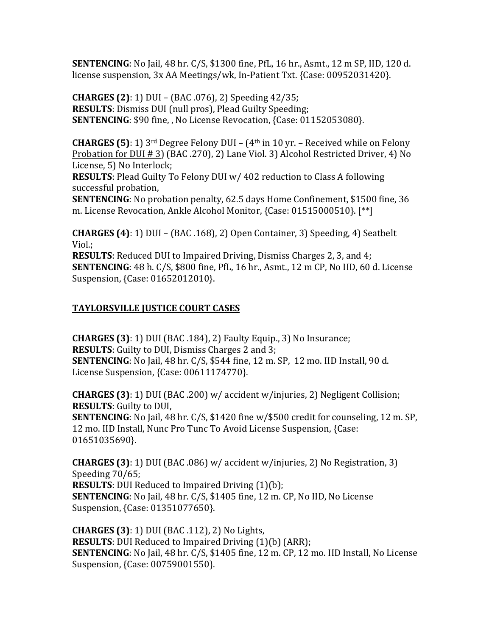**SENTENCING**: No Jail, 48 hr. C/S, \$1300 fine, PfL, 16 hr., Asmt., 12 m SP, IID, 120 d. license suspension, 3x AA Meetings/wk, In-Patient Txt. {Case: 00952031420}.

**CHARGES**  $(2)$ : 1) DUI –  $( BAC.076)$ , 2) Speeding  $42/35$ ; **RESULTS:** Dismiss DUI (null pros), Plead Guilty Speeding; **SENTENCING**: \$90 fine. No License Revocation, {Case: 01152053080}.

**CHARGES** (5): 1)  $3^{rd}$  Degree Felony DUI – (4<sup>th</sup> in 10 yr. – Received while on Felony Probation for DUI  $# 3$ ) (BAC .270), 2) Lane Viol. 3) Alcohol Restricted Driver, 4) No License, 5) No Interlock;

**RESULTS:** Plead Guilty To Felony DUI w/ 402 reduction to Class A following successful probation,

**SENTENCING**: No probation penalty, 62.5 days Home Confinement, \$1500 fine, 36 m. License Revocation, Ankle Alcohol Monitor, {Case: 01515000510}. [\*\*]

**CHARGES (4)**: 1) DUI - (BAC .168), 2) Open Container, 3) Speeding, 4) Seatbelt Viol.; 

**RESULTS:** Reduced DUI to Impaired Driving, Dismiss Charges 2, 3, and 4; **SENTENCING**: 48 h. C/S, \$800 fine, PfL, 16 hr., Asmt., 12 m CP, No IID, 60 d. License Suspension, {Case: 01652012010}.

## **TAYLORSVILLE JUSTICE COURT CASES**

**CHARGES** (3): 1) DUI (BAC .184), 2) Faulty Equip., 3) No Insurance; **RESULTS:** Guilty to DUI, Dismiss Charges 2 and 3; **SENTENCING**: No Jail, 48 hr. C/S, \$544 fine, 12 m. SP, 12 mo. IID Install, 90 d. License Suspension, {Case: 00611174770}.

**CHARGES** (3): 1) DUI (BAC .200)  $w/$  accident  $w/$ injuries, 2) Negligent Collision; **RESULTS:** Guilty to DUI, **SENTENCING**: No Jail, 48 hr. C/S, \$1420 fine w/\$500 credit for counseling, 12 m. SP, 12 mo. IID Install, Nunc Pro Tunc To Avoid License Suspension, {Case: 01651035690}. 

**CHARGES** (3): 1) DUI (BAC .086) w/ accident w/injuries, 2) No Registration, 3) Speeding  $70/65$ ; **RESULTS:** DUI Reduced to Impaired Driving (1)(b); **SENTENCING**: No Jail, 48 hr. C/S, \$1405 fine, 12 m. CP, No IID, No License Suspension, {Case: 01351077650}.

**CHARGES (3)**: 1) DUI (BAC .112), 2) No Lights, **RESULTS:** DUI Reduced to Impaired Driving (1)(b) (ARR); **SENTENCING**: No Jail, 48 hr. C/S, \$1405 fine, 12 m. CP, 12 mo. IID Install, No License Suspension, {Case: 00759001550}.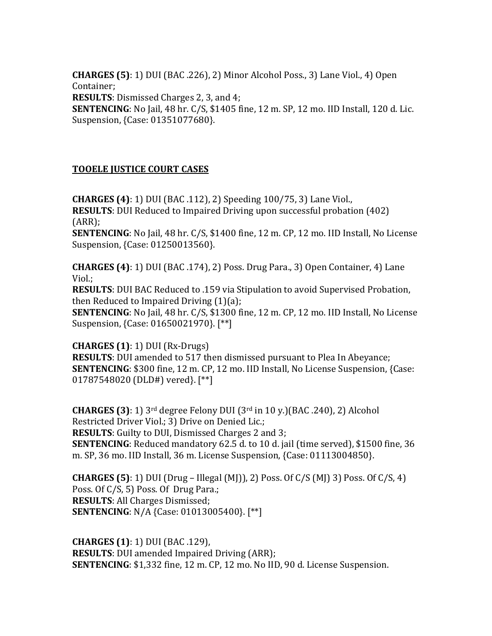**CHARGES** (5): 1) DUI (BAC .226), 2) Minor Alcohol Poss., 3) Lane Viol., 4) Open Container; **RESULTS:** Dismissed Charges 2, 3, and 4; **SENTENCING**: No Jail, 48 hr. C/S, \$1405 fine, 12 m. SP, 12 mo. IID Install, 120 d. Lic. Suspension, {Case: 01351077680}.

## **TOOELE JUSTICE COURT CASES**

**CHARGES** (4): 1) DUI (BAC .112), 2) Speeding 100/75, 3) Lane Viol., **RESULTS:** DUI Reduced to Impaired Driving upon successful probation (402) (ARR); 

**SENTENCING**: No Jail, 48 hr. C/S, \$1400 fine, 12 m. CP, 12 mo. IID Install, No License Suspension, {Case: 01250013560}.

**CHARGES (4)**: 1) DUI (BAC .174), 2) Poss. Drug Para., 3) Open Container, 4) Lane Viol.; 

**RESULTS:** DUI BAC Reduced to .159 via Stipulation to avoid Supervised Probation, then Reduced to Impaired Driving  $(1)(a)$ ;

**SENTENCING**: No Jail, 48 hr. C/S, \$1300 fine, 12 m. CP, 12 mo. IID Install, No License Suspension, {Case: 01650021970}. [\*\*]

## **CHARGES** (1): 1) DUI (Rx-Drugs)

**RESULTS:** DUI amended to 517 then dismissed pursuant to Plea In Abeyance; **SENTENCING**: \$300 fine, 12 m. CP, 12 mo. IID Install, No License Suspension, {Case: 01787548020 (DLD#) vered}.  $[**]$ 

**CHARGES** (3): 1)  $3^{rd}$  degree Felony DUI  $(3^{rd}$  in  $10$  y.)(BAC .240), 2) Alcohol Restricted Driver Viol.; 3) Drive on Denied Lic.; **RESULTS:** Guilty to DUI, Dismissed Charges 2 and 3; **SENTENCING**: Reduced mandatory 62.5 d. to 10 d. jail (time served), \$1500 fine, 36 m. SP, 36 mo. IID Install, 36 m. License Suspension, {Case: 01113004850}.

**CHARGES** (5): 1) DUI (Drug – Illegal (MJ)), 2) Poss. Of C/S (MJ) 3) Poss. Of C/S, 4) Poss. Of  $C/S$ , 5) Poss. Of Drug Para.; **RESULTS: All Charges Dismissed; SENTENCING**: N/A {Case: 01013005400}. [\*\*]

**CHARGES** (1): 1) DUI (BAC .129), **RESULTS:** DUI amended Impaired Driving (ARR); **SENTENCING**: \$1,332 fine, 12 m. CP, 12 mo. No IID, 90 d. License Suspension.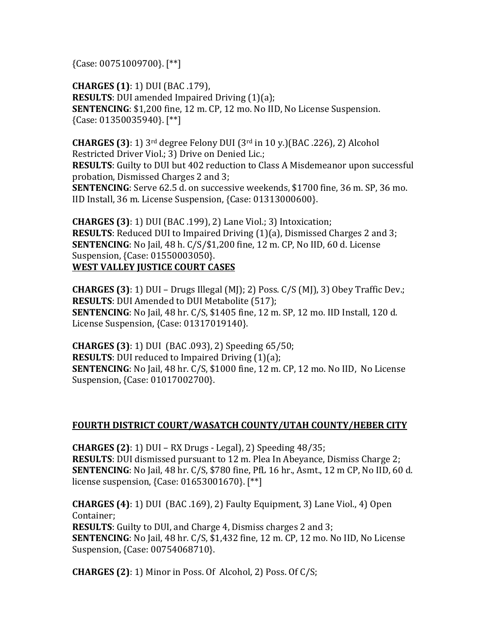${Case: 00751009700}.$  [\*\*]

**CHARGES** (1): 1) DUI (BAC .179), **RESULTS:** DUI amended Impaired Driving (1)(a); **SENTENCING**: \$1,200 fine, 12 m. CP, 12 mo. No IID, No License Suspension.  ${Case: 01350035940}.$  [\*\*]

**CHARGES** (3): 1)  $3^{rd}$  degree Felony DUI  $(3^{rd}$  in  $10$  y.)(BAC .226), 2) Alcohol Restricted Driver Viol.; 3) Drive on Denied Lic.; **RESULTS:** Guilty to DUI but 402 reduction to Class A Misdemeanor upon successful probation, Dismissed Charges 2 and 3; **SENTENCING**: Serve 62.5 d. on successive weekends, \$1700 fine, 36 m. SP, 36 mo. IID Install, 36 m. License Suspension, {Case: 01313000600}.

**CHARGES (3)**: 1) DUI (BAC .199), 2) Lane Viol.; 3) Intoxication; **RESULTS:** Reduced DUI to Impaired Driving (1)(a), Dismissed Charges 2 and 3; **SENTENCING**: No Jail,  $48$  h.  $C/S$ / $$1,200$  fine,  $12$  m. CP, No IID, 60 d. License Suspension, {Case: 01550003050}. **WEST VALLEY JUSTICE COURT CASES** 

**CHARGES** (3): 1) DUI – Drugs Illegal (MJ); 2) Poss.  $C/S$  (MJ), 3) Obey Traffic Dev.; **RESULTS:** DUI Amended to DUI Metabolite (517); **SENTENCING**: No Jail, 48 hr. C/S, \$1405 fine, 12 m. SP, 12 mo. IID Install, 120 d. License Suspension, {Case: 01317019140}.

**CHARGES** (3): 1) DUI (BAC .093), 2) Speeding 65/50; **RESULTS:** DUI reduced to Impaired Driving (1)(a); **SENTENCING**: No Jail, 48 hr. C/S, \$1000 fine, 12 m. CP, 12 mo. No IID, No License Suspension, {Case: 01017002700}.

## **FOURTH DISTRICT COURT/WASATCH COUNTY/UTAH COUNTY/HEBER CITY**

**CHARGES**  $(2)$ : 1) DUI – RX Drugs - Legal), 2) Speeding  $48/35$ ; **RESULTS**: DUI dismissed pursuant to 12 m. Plea In Abeyance, Dismiss Charge 2; **SENTENCING**: No Jail, 48 hr. C/S, \$780 fine, PfL 16 hr., Asmt., 12 m CP, No IID, 60 d. license suspension,  ${Case: }01653001670$ .  $[**]$ 

**CHARGES** (4): 1) DUI (BAC .169), 2) Faulty Equipment, 3) Lane Viol., 4) Open Container; **RESULTS:** Guilty to DUI, and Charge 4, Dismiss charges 2 and 3; **SENTENCING**: No Jail, 48 hr. C/S, \$1,432 fine, 12 m. CP, 12 mo. No IID, No License Suspension, {Case: 00754068710}.

**CHARGES**  $(2)$ : 1) Minor in Poss. Of Alcohol, 2) Poss. Of  $C/S$ ;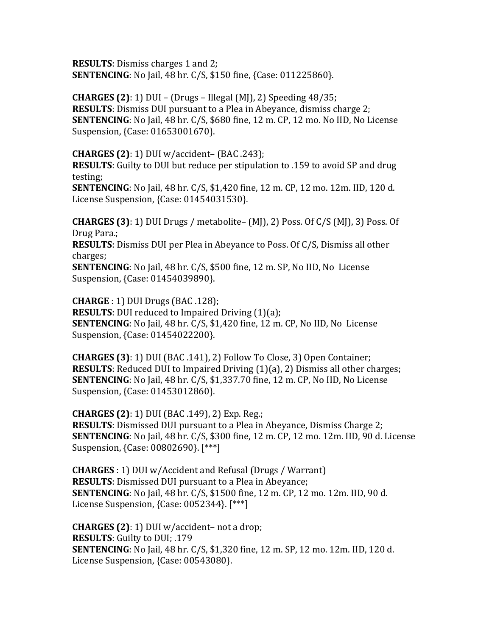**RESULTS:** Dismiss charges 1 and 2; **SENTENCING**: No Jail, 48 hr. C/S, \$150 fine, {Case: 011225860}.

**CHARGES** (2): 1) DUI – (Drugs – Illegal (MJ), 2) Speeding  $48/35$ ; **RESULTS:** Dismiss DUI pursuant to a Plea in Abeyance, dismiss charge 2; **SENTENCING**: No Jail, 48 hr. C/S, \$680 fine, 12 m. CP, 12 mo. No IID, No License Suspension, {Case: 01653001670}.

**CHARGES** (2): 1) DUI w/accident– (BAC .243);

**RESULTS:** Guilty to DUI but reduce per stipulation to .159 to avoid SP and drug testing; 

**SENTENCING**: No Jail, 48 hr. C/S, \$1,420 fine, 12 m. CP, 12 mo. 12m. IID, 120 d. License Suspension, {Case: 01454031530}.

**CHARGES** (3): 1) DUI Drugs / metabolite–  $(M<sub>1</sub>)$ , 2) Poss. Of  $C/S$   $(M<sub>1</sub>)$ , 3) Poss. Of Drug Para.:

**RESULTS**: Dismiss DUI per Plea in Abeyance to Poss. Of C/S, Dismiss all other charges; 

**SENTENCING**: No Jail, 48 hr. C/S, \$500 fine, 12 m. SP, No IID, No License Suspension, {Case: 01454039890}.

**CHARGE**: 1) DUI Drugs (BAC .128); **RESULTS:** DUI reduced to Impaired Driving (1)(a); **SENTENCING**: No Jail, 48 hr. C/S, \$1,420 fine, 12 m. CP, No IID, No License Suspension, {Case: 01454022200}.

**CHARGES** (3): 1) DUI (BAC .141), 2) Follow To Close, 3) Open Container; **RESULTS**: Reduced DUI to Impaired Driving (1)(a), 2) Dismiss all other charges; **SENTENCING**: No Jail, 48 hr. C/S, \$1,337.70 fine, 12 m. CP, No IID, No License Suspension, {Case: 01453012860}.

**CHARGES (2)**: 1) DUI (BAC .149), 2) Exp. Reg.; **RESULTS:** Dismissed DUI pursuant to a Plea in Abeyance, Dismiss Charge 2; **SENTENCING**: No Jail, 48 hr. C/S, \$300 fine, 12 m. CP, 12 mo. 12m. IID, 90 d. License Suspension, {Case: 00802690}. [\*\*\*]

**CHARGES** : 1) DUI w/Accident and Refusal (Drugs / Warrant) **RESULTS:** Dismissed DUI pursuant to a Plea in Abeyance; **SENTENCING**: No Jail, 48 hr. C/S, \$1500 fine, 12 m. CP, 12 mo. 12m. IID, 90 d. License Suspension,  ${Case: } 0052344$ .  $[***]$ 

**CHARGES** (2): 1) DUI w/accident-not a drop; **RESULTS:** Guilty to DUI; .179 **SENTENCING**: No Jail, 48 hr. C/S, \$1,320 fine, 12 m. SP, 12 mo. 12m. IID, 120 d. License Suspension, {Case: 00543080}.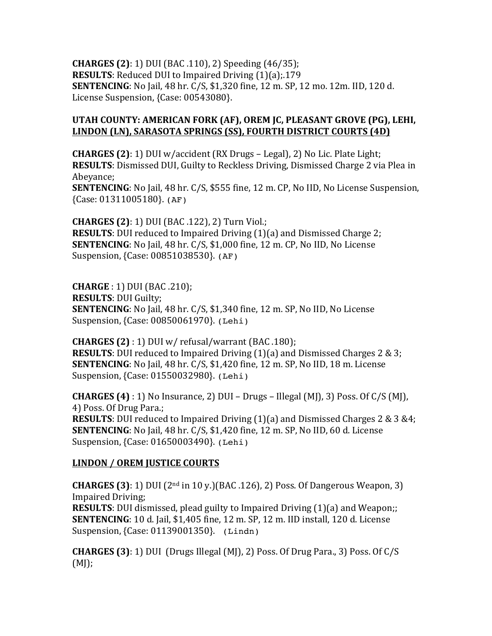**CHARGES** (2): 1) DUI (BAC .110), 2) Speeding (46/35); **RESULTS:** Reduced DUI to Impaired Driving (1)(a);.179 **SENTENCING**: No Jail, 48 hr. C/S, \$1,320 fine, 12 m. SP, 12 mo. 12m. IID, 120 d. License Suspension, {Case: 00543080}.

## UTAH COUNTY: AMERICAN FORK (AF), OREM JC, PLEASANT GROVE (PG), LEHI, **LINDON (LN), SARASOTA SPRINGS (SS), FOURTH DISTRICT COURTS (4D)**

**CHARGES** (2): 1) DUI w/accident (RX Drugs – Legal), 2) No Lic. Plate Light; **RESULTS:** Dismissed DUI, Guilty to Reckless Driving, Dismissed Charge 2 via Plea in Abeyance; 

**SENTENCING**: No Jail, 48 hr. C/S, \$555 fine, 12 m. CP, No IID, No License Suspension,  ${Case: } 01311005180$ . (AF)

**CHARGES** (2): 1) DUI (BAC .122), 2) Turn Viol.: **RESULTS:** DUI reduced to Impaired Driving (1)(a) and Dismissed Charge 2; **SENTENCING**: No Jail, 48 hr. C/S, \$1,000 fine, 12 m. CP, No IID, No License Suspension, {Case: 00851038530}. (AF)

**CHARGE**: 1) DUI (BAC .210); **RESULTS: DUI Guilty; SENTENCING**: No Jail, 48 hr. C/S, \$1,340 fine, 12 m. SP, No IID, No License Suspension, {Case: 00850061970}. (Lehi)

**CHARGES** (2) : 1) DUI w/ refusal/warrant (BAC .180); **RESULTS**: DUI reduced to Impaired Driving (1)(a) and Dismissed Charges 2 & 3; **SENTENCING**: No Jail, 48 hr. C/S, \$1,420 fine, 12 m. SP, No IID, 18 m. License Suspension, {Case: 01550032980}. (Lehi)

**CHARGES** (4) : 1) No Insurance, 2) DUI – Drugs – Illegal (MJ), 3) Poss. Of C/S (MJ), 4) Poss. Of Drug Para.; **RESULTS**: DUI reduced to Impaired Driving (1)(a) and Dismissed Charges 2 & 3 &4; **SENTENCING**: No Jail, 48 hr. C/S, \$1,420 fine, 12 m. SP, No IID, 60 d. License Suspension, {Case: 01650003490}. (Lehi)

## **LINDON / OREM JUSTICE COURTS**

**CHARGES** (3): 1) DUI ( $2<sup>nd</sup>$  in 10 y.)(BAC .126), 2) Poss. Of Dangerous Weapon, 3) Impaired Driving; **RESULTS**: DUI dismissed, plead guilty to Impaired Driving (1)(a) and Weapon;; **SENTENCING**: 10 d. Jail, \$1,405 fine, 12 m. SP, 12 m. IID install, 120 d. License Suspension, {Case: 01139001350}. (Lindn)

**CHARGES** (3): 1) DUI (Drugs Illegal  $(M<sub>1</sub>)$ , 2) Poss. Of Drug Para., 3) Poss. Of  $C/S$ (MJ);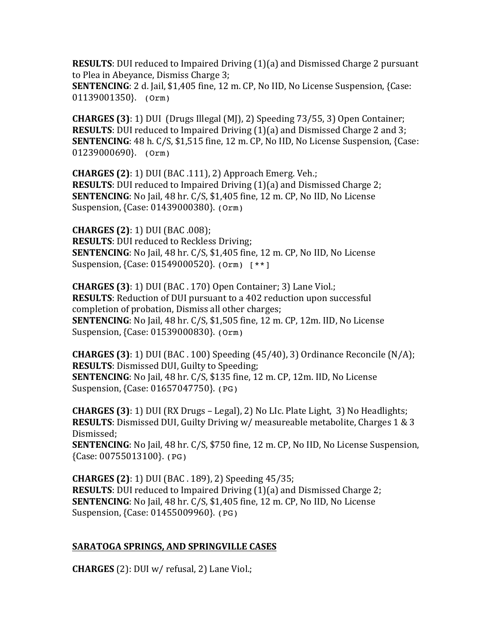**RESULTS:** DUI reduced to Impaired Driving (1)(a) and Dismissed Charge 2 pursuant to Plea in Abeyance, Dismiss Charge 3; **SENTENCING**: 2 d. Jail, \$1,405 fine, 12 m. CP, No IID, No License Suspension, {Case:

01139001350}. (Orm)

**CHARGES** (3): 1) DUI (Drugs Illegal (MJ), 2) Speeding 73/55, 3) Open Container; **RESULTS:** DUI reduced to Impaired Driving (1)(a) and Dismissed Charge 2 and 3; **SENTENCING**: 48 h. C/S, \$1,515 fine, 12 m. CP, No IID, No License Suspension, {Case: 01239000690}. (Orm)

**CHARGES (2)**: 1) DUI (BAC .111), 2) Approach Emerg. Veh.; **RESULTS**: DUI reduced to Impaired Driving (1)(a) and Dismissed Charge 2; **SENTENCING**: No Jail, 48 hr. C/S, \$1,405 fine, 12 m. CP, No IID, No License Suspension, {Case: 01439000380}. (Orm)

**CHARGES** (2): 1) DUI (BAC .008); **RESULTS:** DUI reduced to Reckless Driving; **SENTENCING**: No Jail, 48 hr. C/S, \$1,405 fine, 12 m. CP, No IID, No License Suspension, {Case:  $01549000520$ }. (Orm) [\*\*]

**CHARGES** (3): 1) DUI (BAC. 170) Open Container; 3) Lane Viol.; **RESULTS:** Reduction of DUI pursuant to a 402 reduction upon successful completion of probation, Dismiss all other charges; **SENTENCING**: No Jail, 48 hr. C/S, \$1,505 fine, 12 m. CP, 12m. IID, No License Suspension, {Case: 01539000830}. (Orm)

**CHARGES** (3): 1) DUI (BAC . 100) Speeding  $(45/40)$ , 3) Ordinance Reconcile  $(N/A)$ ; **RESULTS:** Dismissed DUI, Guilty to Speeding; **SENTENCING**: No Jail, 48 hr. C/S, \$135 fine, 12 m. CP, 12m. IID, No License Suspension, {Case: 01657047750}. (PG)

**CHARGES** (3): 1) DUI (RX Drugs – Legal), 2) No LIc. Plate Light, 3) No Headlights; **RESULTS:** Dismissed DUI, Guilty Driving w/ measureable metabolite, Charges 1 & 3 Dismissed; 

**SENTENCING**: No Jail, 48 hr. C/S, \$750 fine, 12 m. CP, No IID, No License Suspension,  ${Case: } 00755013100$ . (PG)

**CHARGES** (2): 1) DUI (BAC. 189), 2) Speeding 45/35; **RESULTS:** DUI reduced to Impaired Driving (1)(a) and Dismissed Charge 2; **SENTENCING**: No Jail, 48 hr. C/S, \$1,405 fine, 12 m. CP, No IID, No License Suspension, {Case: 01455009960}. (PG)

## **SARATOGA SPRINGS, AND SPRINGVILLE CASES**

**CHARGES** (2): DUI w/ refusal, 2) Lane Viol.;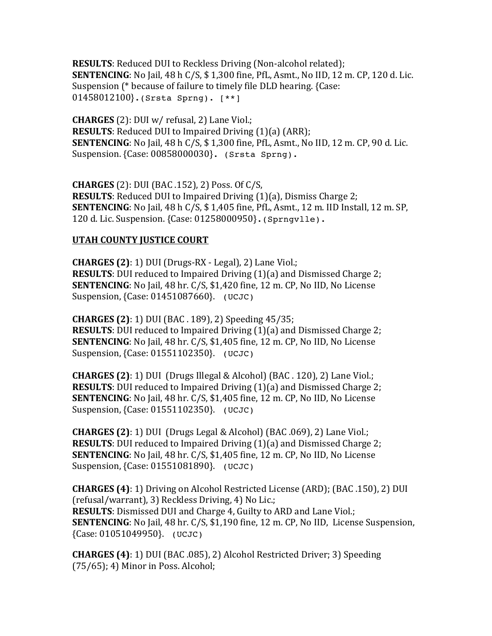**RESULTS:** Reduced DUI to Reckless Driving (Non-alcohol related); **SENTENCING**: No Jail, 48 h C/S, \$ 1,300 fine, PfL, Asmt., No IID, 12 m. CP, 120 d. Lic. Suspension (\* because of failure to timely file DLD hearing. {Case: 01458012100}.(Srsta Sprng). [\*\*]

**CHARGES** (2): DUI w/ refusal, 2) Lane Viol.; **RESULTS:** Reduced DUI to Impaired Driving (1)(a) (ARR); **SENTENCING**: No Jail, 48 h C/S, \$ 1,300 fine, PfL, Asmt., No IID, 12 m. CP, 90 d. Lic. Suspension.  ${Case: }00858000030$ . (Srsta Sprng).

**CHARGES** (2): DUI (BAC .152), 2) Poss. Of C/S, **RESULTS:** Reduced DUI to Impaired Driving (1)(a), Dismiss Charge 2; **SENTENCING**: No Jail, 48 h C/S, \$ 1,405 fine, PfL, Asmt., 12 m. IID Install, 12 m. SP, 120 d. Lic. Suspension. {Case: 01258000950}. (Sprngvlle).

#### **UTAH COUNTY JUSTICE COURT**

**CHARGES** (2): 1) DUI (Drugs-RX - Legal), 2) Lane Viol.; **RESULTS:** DUI reduced to Impaired Driving (1)(a) and Dismissed Charge 2; **SENTENCING**: No Jail, 48 hr. C/S, \$1,420 fine, 12 m. CP, No IID, No License Suspension, {Case: 01451087660}. (UCJC)

**CHARGES** (2): 1) DUI (BAC . 189), 2) Speeding 45/35; **RESULTS:** DUI reduced to Impaired Driving (1)(a) and Dismissed Charge 2; **SENTENCING**: No Jail, 48 hr. C/S, \$1,405 fine, 12 m. CP, No IID, No License Suspension, {Case: 01551102350}. (UCJC)

**CHARGES**  $(2)$ : 1) DUI (Drugs Illegal & Alcohol)  $( BAC . 120)$ , 2) Lane Viol.; **RESULTS:** DUI reduced to Impaired Driving (1)(a) and Dismissed Charge 2; **SENTENCING**: No Jail, 48 hr. C/S, \$1,405 fine, 12 m. CP, No IID, No License Suspension,  $\{Case: 01551102350\}$ . (UCJC)

**CHARGES** (2): 1) DUI (Drugs Legal & Alcohol) (BAC .069), 2) Lane Viol.; **RESULTS:** DUI reduced to Impaired Driving (1)(a) and Dismissed Charge 2; **SENTENCING**: No Jail, 48 hr. C/S, \$1,405 fine, 12 m. CP, No IID, No License Suspension, {Case: 01551081890}. (UCJC)

**CHARGES** (4): 1) Driving on Alcohol Restricted License (ARD); (BAC .150), 2) DUI (refusal/warrant), 3) Reckless Driving, 4) No Lic.; **RESULTS:** Dismissed DUI and Charge 4, Guilty to ARD and Lane Viol.; **SENTENCING**: No Jail, 48 hr. C/S, \$1,190 fine, 12 m. CP, No IID, License Suspension,  ${Case: } 01051049950$ . (UCJC)

**CHARGES** (4): 1) DUI (BAC .085), 2) Alcohol Restricted Driver; 3) Speeding  $(75/65)$ ; 4) Minor in Poss. Alcohol: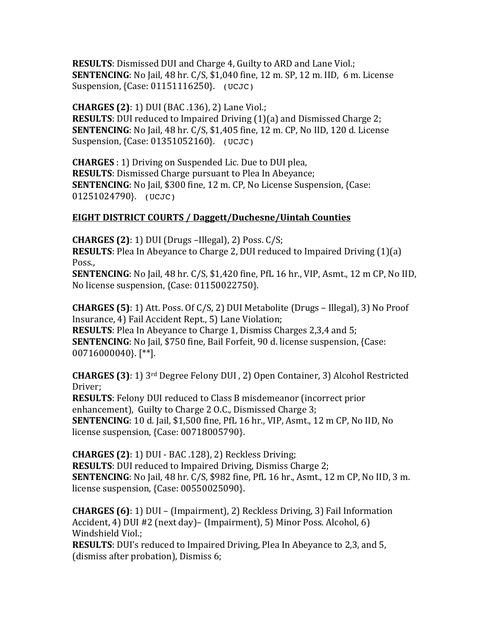**RESULTS:** Dismissed DUI and Charge 4, Guilty to ARD and Lane Viol.; **SENTENCING**: No Jail, 48 hr. C/S, \$1,040 fine, 12 m. SP, 12 m. IID, 6 m. License Suspension,  $\{Case: 01151116250\}$ . (UCJC)

**CHARGES** (2): 1) DUI (BAC .136), 2) Lane Viol.; **RESULTS:** DUI reduced to Impaired Driving (1)(a) and Dismissed Charge 2; **SENTENCING**: No Jail, 48 hr. C/S, \$1,405 fine, 12 m. CP, No IID, 120 d. License Suspension, {Case: 01351052160}. (UCJC)

**CHARGES** : 1) Driving on Suspended Lic. Due to DUI plea, **RESULTS:** Dismissed Charge pursuant to Plea In Abeyance; **SENTENCING**: No Jail, \$300 fine, 12 m. CP, No License Suspension, {Case: 01251024790}. (UCJC)

## **EIGHT DISTRICT COURTS / Daggett/Duchesne/Uintah Counties**

**CHARGES**  $(2)$ : 1) DUI (Drugs –Illegal), 2) Poss.  $C/S$ ; **RESULTS**: Plea In Abeyance to Charge 2, DUI reduced to Impaired Driving (1)(a) Poss., 

**SENTENCING**: No Jail, 48 hr. C/S, \$1,420 fine, PfL 16 hr., VIP, Asmt., 12 m CP, No IID, No license suspension, {Case: 01150022750}.

**CHARGES** (5): 1) Att. Poss. Of  $C/S$ , 2) DUI Metabolite (Drugs – Illegal), 3) No Proof Insurance, 4) Fail Accident Rept., 5) Lane Violation; **RESULTS:** Plea In Abeyance to Charge 1, Dismiss Charges 2,3,4 and 5; **SENTENCING**: No Jail, \$750 fine, Bail Forfeit, 90 d. license suspension, {Case: 00716000040}. [\*\*].

**CHARGES** (3): 1) 3<sup>rd</sup> Degree Felony DUI, 2) Open Container, 3) Alcohol Restricted Driver; 

**RESULTS:** Felony DUI reduced to Class B misdemeanor (incorrect prior enhancement), Guilty to Charge 2 O.C., Dismissed Charge 3; **SENTENCING**: 10 d. Jail, \$1,500 fine, PfL 16 hr., VIP, Asmt., 12 m CP, No IID, No license suspension,  ${Case: } 00718005790$ .

**CHARGES** (2): 1) DUI - BAC .128), 2) Reckless Driving; **RESULTS:** DUI reduced to Impaired Driving, Dismiss Charge 2: **SENTENCING**: No Jail, 48 hr. C/S, \$982 fine, PfL 16 hr., Asmt., 12 m CP, No IID, 3 m. license suspension,  ${Case: } 00550025090$ .

**CHARGES** (6): 1) DUI – (Impairment), 2) Reckless Driving, 3) Fail Information Accident, 4) DUI #2 (next day)– (Impairment), 5) Minor Poss. Alcohol, 6) Windshield Viol.;

**RESULTS:** DUI's reduced to Impaired Driving, Plea In Abeyance to 2,3, and 5, (dismiss after probation), Dismiss 6;